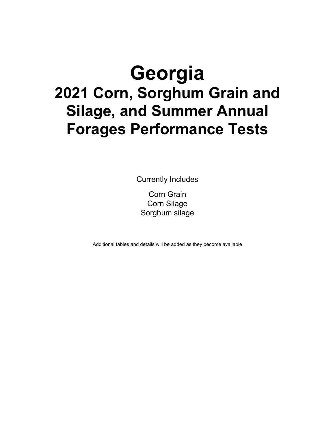# **Georgia 2021 Corn, Sorghum Grain and Silage, and Summer Annual Forages Performance Tests**

Currently Includes

Corn Grain Corn Silage Sorghum silage

Additional tables and details will be added as they become available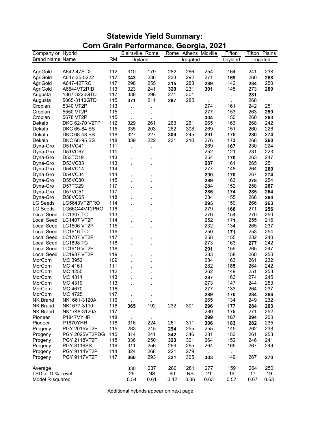## **Statewide Yield Summary: Corn Grain Performance, Georgia, 2021**

| Company or Hybrid<br><b>Blairsville Rome</b><br>Athens Midville<br>Tifton<br>Rome                           |            | Tifton Plains |
|-------------------------------------------------------------------------------------------------------------|------------|---------------|
| <b>Brand Name Name</b><br><b>RM</b><br>Dryland<br>Irrigated<br>Dryland                                      |            | Irrigated     |
|                                                                                                             |            |               |
| 112<br>310<br>179<br>282<br>266<br>254<br>164<br>AgriGold<br>A642-47STX                                     | 241        | 238           |
| 236<br>233<br>292<br>271<br>AgriGold<br>A647-35-5222<br>117<br>343<br>169                                   | 260        | 268           |
| 117<br>298<br>255<br>283<br>142<br>AgriGold<br>A647-42TRC<br>315<br>289                                     | 284        | 250           |
| 113<br>323<br>241<br>231<br>301<br>145<br><b>AgriGold</b><br>A6544VT2RIB<br>320                             | 273        | 269           |
| 1367-3220GTD<br>117<br>338<br>298<br>271<br>301<br>Augusta                                                  | 281        |               |
| 115<br>211<br>297<br>285<br>Augusta<br>5065-3110GTD<br>371                                                  | 268        |               |
| 113<br>274<br>161<br>Croplan<br>5340 VT2P                                                                   | 242        | 251           |
| 277<br>153<br>115<br>Croplan<br>5550 VT2P<br>÷,<br>$\cdot$<br>$\cdot$                                       | 263        | 259           |
| 5678 VT2P<br>115<br>150<br>304<br>Croplan                                                                   | 260        | 263           |
| DKC 62-70 V2TP<br>112<br>329<br>261<br>263<br>261<br>265<br>163<br>Dekalb                                   | 268        | 242           |
| DKC 65-84 SS<br>115<br>335<br>203<br>262<br>308<br>269<br>151<br>Dekalb                                     | 260        | 226           |
| 327<br>227<br>DKC 68-48 SS<br>118<br>309<br>245<br>291<br>Dekalb<br>175                                     | 280        | 274           |
| 222<br>231<br>DKC 68-95 SS<br>339<br>210<br>276<br>Dekalb<br>118<br>173                                     | 268        | 260           |
| 111<br>269<br>Dyna-Gro<br>D51VC41<br>167                                                                    | 230        | 224           |
| 252<br>121<br>D51VC67<br>111<br>Dyna-Gro<br>÷,                                                              | 231        | 223           |
| 254<br>D53TC19<br>113<br>170<br>Dyna-Gro                                                                    | 263        | 247           |
| D53VC33<br>113<br>287<br>161<br>Dyna-Gro                                                                    | 265        | 251           |
| D54VC14<br>114<br>277<br>148<br>Dyna-Gro<br>l,                                                              | 264        | 260           |
| D54VC34<br>114<br>Dyna-Gro<br>290<br>170                                                                    | 267        | 274           |
| D55VC80<br>115<br>289<br>163<br>Dyna-Gro                                                                    | 278        | 254           |
| D57TC29<br>284<br>152<br>Dyna-Gro<br>117                                                                    | 258        | 267           |
| D57VC51<br>117<br>Dyna-Gro<br>286<br>174                                                                    | 285        | 264           |
| D58VC65<br>118<br>284<br>155<br>Dyna-Gro<br>l.                                                              | 266        | 264           |
| LG Seeds<br>LG5643VT2PRO<br>114<br>295<br>150                                                               | 266        | 263           |
| <b>LG Seeds</b><br>LG66C44VT2PRO<br>116<br>279<br>166                                                       | 271        | 256           |
| <b>Local Seed</b><br><b>LC1307 TC</b><br>113<br>276<br>154                                                  | 270        | 250           |
| 252<br><b>Local Seed</b><br><b>LC1407 VT2P</b><br>114<br>171<br>÷.                                          | 255        | 216           |
| <b>Local Seed</b><br>115<br>232<br>134<br><b>LC1506 VT2P</b>                                                | 265        | 237           |
| <b>Local Seed</b><br><b>LC1616 TC</b><br>250<br>116<br>171                                                  | 253        | 254           |
| <b>Local Seed</b><br>258<br>155<br><b>LC1707 VT2P</b><br>117                                                | 232        | 240           |
| <b>Local Seed</b><br><b>LC1898 TC</b><br>118<br>273<br>163                                                  | 277        | 242           |
| <b>Local Seed</b><br><b>LC1919 VT2P</b><br>118<br>291<br>159                                                | 265        | 247           |
| <b>Local Seed</b><br><b>LC1987 VT2P</b><br>119<br>283<br>158                                                | 260        | 250           |
| MC 3952<br>284<br>163<br>MorCorn<br>109                                                                     | 261        | 232           |
| 282<br>MorCorn<br>111<br>MC 4161<br>185                                                                     | 264        | 242           |
| MorCorn<br>MC 4255<br>262<br>149<br>112                                                                     | 251        | 253           |
| MC 4311<br>113<br>163<br>MorCorn<br>287                                                                     | 274        | 245           |
| 273<br>147<br>MorCorn<br>MC 4319<br>113                                                                     | 244        | 253           |
| 277<br>133<br>MorCorn<br>MC 4670<br>116                                                                     | 264        | 237           |
| MorCorn<br>MC 4725<br>117<br>289<br>170                                                                     | 284        | 266           |
| 265<br>134<br><b>NK Brand</b><br>NK1661-3120A<br>116                                                        | 249        | 232           |
| 116<br><b>NK Brand</b><br>NK1677-3110<br><u>192</u><br><u> 232</u><br>301<br>296<br>177<br>365              | 284        | 263           |
| 280<br>117<br><b>NK Brand</b><br>NK1748-3120A<br>175                                                        | 271        | 252           |
| $\cdot$<br>$\blacksquare$<br>$\blacksquare$<br>$\blacksquare$<br>118<br>Pioneer<br>P1847VYHR<br>299<br>167  |            | 250           |
| P1870YHR<br>118<br>306<br>Pioneer                                                                           | 294        | 235           |
| 316<br>224<br>311<br>183<br>261                                                                             | 282        |               |
| 215<br>255<br>Progeny<br>PGY 2015VT2P<br>115<br>283<br>294<br>255<br>145<br>115<br>314<br>241<br>281<br>153 | 262<br>261 | 238<br>253    |
| PGY 2025VT2PDG<br>342<br>346<br>Progeny<br>118<br>321<br>264                                                | 246        | 241           |
| <b>PGY 2118VT2P</b><br>336<br>250<br>323<br>152<br>Progeny                                                  |            |               |
| 269<br>264<br>165<br><b>PGY 8116SS</b><br>116<br>311<br>256<br>265<br>Progeny                               | 267        | 249           |
| 114<br>324<br>268<br>221<br>279<br>Progeny<br><b>PGY 9114VT2P</b>                                           |            |               |
| PGY 9117VT2P<br>117<br>360<br>293<br>321<br>305<br>303<br>149<br>Progeny                                    | 267        | 270           |
| 237<br>280<br>281<br>277<br>159<br>Average<br>330                                                           | 264        | 250           |
| 21<br>29<br><b>NS</b><br>60<br><b>NS</b><br>19<br>LSD at 10% Level                                          | 17         | 19            |
| 0.54<br>0.61<br>0.36<br>0.63<br>0.57<br>Model R-squared<br>0.42                                             | 0.67       | 0.63          |

Additional hybrids appear on next page.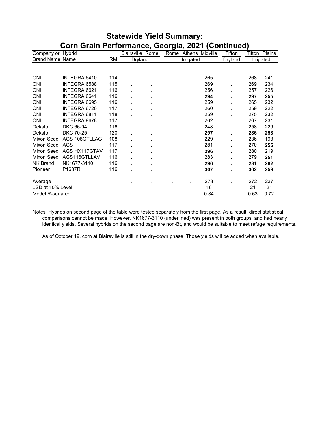| Company or Hybrid      |                     |           | <b>Blairsville Rome</b> | ◡<br>Rome |                      | Athens Midville | Tifton  | Tifton      | <b>Plains</b> |
|------------------------|---------------------|-----------|-------------------------|-----------|----------------------|-----------------|---------|-------------|---------------|
| <b>Brand Name Name</b> |                     | <b>RM</b> | Dryland                 |           | Irrigated            |                 | Dryland |             | Irrigated     |
|                        |                     |           |                         |           |                      |                 |         |             |               |
| <b>CNI</b>             | INTEGRA 6410        | 114       |                         |           |                      | 265             |         | 268         | 241           |
| <b>CNI</b>             | INTEGRA 6588        | 115       |                         |           | $\ddot{\phantom{0}}$ | 269             |         | 269         | 234           |
| <b>CNI</b>             | INTEGRA 6621        | 116       |                         |           |                      | 256             |         | 257         | 226           |
| <b>CNI</b>             | INTEGRA 6641        | 116       |                         |           |                      | 294             |         | 297         | 255           |
| <b>CNI</b>             | INTEGRA 6695        | 116       |                         |           |                      | 259             |         | 265         | 232           |
| <b>CNI</b>             | INTEGRA 6720        | 117       |                         |           |                      | 260             |         | 259         | 222           |
| <b>CNI</b>             | <b>INTEGRA 6811</b> | 118       |                         |           |                      | 259             |         | 275         | 232           |
| <b>CNI</b>             | <b>INTEGRA 9678</b> | 117       |                         |           |                      | 262             |         | 267         | 231           |
| Dekalb                 | DKC 66-94           | 116       |                         |           |                      | 248             |         | 258         | 229           |
| Dekalb                 | <b>DKC 70-25</b>    | 120       |                         |           |                      | 297             |         | 286         | 258           |
| Mixon Seed             | AGS 108GTLLAG       | 108       |                         |           |                      | 229             |         | 236         | 193           |
| Mixon Seed             | AGS                 | 117       |                         |           |                      | 281             |         | 270         | 255           |
| Mixon Seed             | AGS HX117GTAV       | 117       |                         |           |                      | 296             |         | 280         | 219           |
| Mixon Seed             | AGS116GTLLAV        | 116       |                         |           |                      | 283             |         | 279         | 251           |
| <b>NK Brand</b>        | NK1677-3110         | 116       |                         |           | $\blacksquare$       | <u>296</u>      |         | <u> 281</u> | 262           |
| Pioneer                | P1637R              | 116       |                         |           |                      | 307             |         | 302         | 259           |
| Average                |                     |           |                         |           |                      | 273             |         | 272         | 237           |
| LSD at 10% Level       |                     |           |                         |           |                      | 16              |         | 21          | 21            |
| Model R-squared        |                     |           |                         |           |                      | 0.84            |         | 0.63        | 0.72          |

#### **Statewide Yield Summary: Corn Grain Performance, Georgia, 2021 (Continued)**

Notes: Hybrids on second page of the table were tested separately from the first page. As a result, direct statistical comparisons cannot be made. However, NK1677-3110 (underlined) was present in both groups, and had nearly identical yields. Several hybrids on the second page are non-Bt, and would be suitable to meet refuge requirements.

As of October 19, corn at Blairsville is still in the dry-down phase. Those yields will be added when available.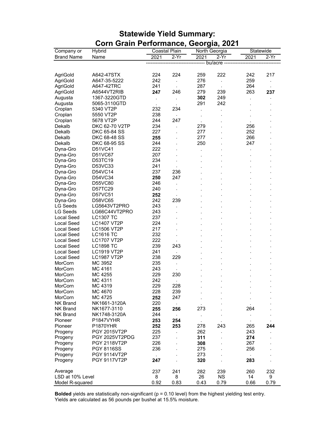| Company or        | Hybrid              |      | Coastal Plain        | - 9 9 7 | North Georgia        | Statewide      |        |
|-------------------|---------------------|------|----------------------|---------|----------------------|----------------|--------|
| <b>Brand Name</b> | Name                | 2021 | $2-Yr$               | 2021    | $2-Yr$               | 2021           | $2-Yr$ |
|                   |                     |      |                      |         | ------ bu/acre ----  |                |        |
|                   |                     |      |                      |         |                      |                |        |
| AgriGold          | A642-47STX          | 224  | 224                  | 259     | 222                  | 242            | 217    |
| AgriGold          | A647-35-5222        | 242  | $\ddot{\phantom{a}}$ | 276     | $\ddot{\phantom{0}}$ | 259            |        |
| AgriGold          | A647-42TRC          | 241  | $\ddot{\phantom{0}}$ | 287     | $\cdot$              | 264            |        |
| AgriGold          | A6544VT2RIB         | 247  | 246                  | 279     | 239                  | 263            | 237    |
| Augusta           | 1367-3220GTD        | ÷,   | $\cdot$              | 302     | 249                  |                |        |
| Augusta           | 5065-3110GTD        |      |                      | 291     | 242                  |                |        |
| Croplan           | 5340 VT2P           | 232  | 234                  |         |                      |                |        |
| Croplan           | 5550 VT2P           | 238  |                      | ï       |                      |                |        |
| Croplan           | 5678 VT2P           | 244  | 247                  |         |                      |                |        |
| Dekalb            | DKC 62-70 V2TP      | 234  | $\ddot{\phantom{a}}$ | 279     |                      | 256            |        |
| Dekalb            | DKC 65-84 SS        | 227  |                      | 277     |                      | 252            |        |
| Dekalb            | DKC 68-48 SS        | 255  |                      | 277     |                      | 266            |        |
| Dekalb            | DKC 68-95 SS        | 244  |                      | 250     |                      | 247            |        |
| Dyna-Gro          | D51VC41             | 222  |                      |         |                      |                |        |
| Dyna-Gro          | D51VC67             | 207  |                      |         |                      |                |        |
| Dyna-Gro          | D53TC19             | 234  |                      |         |                      |                |        |
| Dyna-Gro          | D53VC33             | 241  |                      |         |                      |                |        |
| Dyna-Gro          | D54VC14             | 237  | 236                  |         |                      |                |        |
| Dyna-Gro          | D54VC34             | 250  | 247                  |         |                      |                |        |
| Dyna-Gro          | D55VC80             | 246  |                      |         |                      |                |        |
| Dyna-Gro          | D57TC29             | 240  | $\overline{a}$       |         |                      |                |        |
| Dyna-Gro          | D57VC51             | 252  |                      |         |                      |                |        |
| Dyna-Gro          | D58VC65             | 242  | 239                  |         |                      |                |        |
| <b>LG Seeds</b>   | LG5643VT2PRO        | 243  |                      |         |                      |                |        |
| <b>LG Seeds</b>   | LG66C44VT2PRO       | 243  |                      |         |                      |                |        |
| <b>Local Seed</b> | <b>LC1307 TC</b>    | 237  |                      |         |                      |                |        |
| <b>Local Seed</b> | <b>LC1407 VT2P</b>  | 224  |                      |         |                      |                |        |
| <b>Local Seed</b> | <b>LC1506 VT2P</b>  | 217  |                      |         |                      |                |        |
| <b>Local Seed</b> | <b>LC1616 TC</b>    | 232  |                      |         |                      |                |        |
| <b>Local Seed</b> | <b>LC1707 VT2P</b>  | 222  |                      |         |                      |                |        |
| <b>Local Seed</b> | <b>LC1898 TC</b>    | 239  | 243                  |         |                      |                |        |
| <b>Local Seed</b> | <b>LC1919 VT2P</b>  | 241  |                      |         |                      |                |        |
| <b>Local Seed</b> | <b>LC1987 VT2P</b>  | 238  | 229                  |         |                      |                |        |
| MorCorn           | MC 3952             | 235  | $\cdot$              |         |                      |                |        |
| MorCorn           | MC 4161             | 243  | $\blacksquare$       |         |                      |                |        |
| MorCorn           | MC 4255             | 229  | 230                  |         |                      |                |        |
| MorCorn           | MC 4311             | 242  |                      |         |                      |                |        |
| MorCorn           | MC 4319             | 229  | 228                  |         |                      |                |        |
| MorCorn           | MC 4670             | 228  | 239                  |         |                      | $\blacksquare$ |        |
| MorCorn           | MC 4725             | 252  | 247                  |         |                      |                |        |
| <b>NK Brand</b>   | NK1661-3120A        | 220  | $\blacksquare$       |         |                      |                |        |
| <b>NK Brand</b>   | NK1677-3110         | 255  | 256                  | 273     |                      | 264            |        |
| <b>NK Brand</b>   | NK1748-3120A        | 244  | $\blacksquare$       |         |                      |                |        |
| Pioneer           | P1847VYHR           | 253  | 254                  |         |                      | $\blacksquare$ |        |
| Pioneer           | <b>P1870YHR</b>     | 252  | 253                  | 278     | 243                  | 265            | 244    |
| Progeny           | PGY 2015VT2P        | 225  |                      | 262     |                      | 243            |        |
| Progeny           | PGY 2025VT2PDG      | 237  |                      | 311     |                      | 274            |        |
| Progeny           | <b>PGY 2118VT2P</b> | 226  |                      | 308     |                      | 267            |        |
| Progeny           | <b>PGY 8116SS</b>   | 236  |                      | 275     |                      | 256            |        |
| Progeny           | PGY 9114VT2P        |      |                      | 273     |                      |                |        |
| Progeny           | <b>PGY 9117VT2P</b> | 247  |                      | 320     |                      | 283            |        |
|                   |                     |      |                      |         |                      |                |        |
| Average           |                     | 237  | 241                  | 282     | 239                  | 260            | 232    |
| LSD at 10% Level  |                     | 8    | 8                    | 26      | <b>NS</b>            | 14             | 9      |
| Model R-squared   |                     | 0.92 | 0.83                 | 0.43    | 0.79                 | 0.66           | 0.79   |

#### **Statewide Yield Summary: Corn Grain Performance, Georgia, 2021**

**Bolded** yields are statistically non-significant (p = 0.10 level) from the highest yielding test entry. Yields are calculated as 56 pounds per bushel at 15.5% moisture.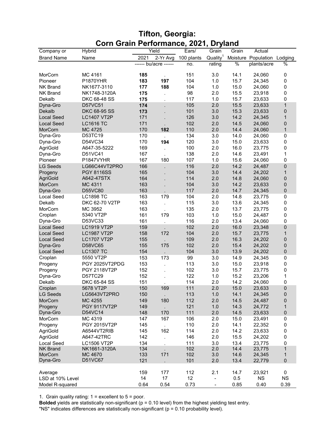| <b>Tifton, Georgia:</b>               |  |
|---------------------------------------|--|
| Corn Grain Performance, 2021, Dryland |  |

| Company or        | Hybrid              |      | Yield                 | Ears/      | Grain                        | Grain | Actual                      |              |
|-------------------|---------------------|------|-----------------------|------------|------------------------------|-------|-----------------------------|--------------|
| <b>Brand Name</b> | Name                | 2021 | 2-Yr Avg              | 100 plants | Quality <sup>1</sup>         |       | Moisture Population Lodging |              |
|                   |                     |      | ------ bu/acre ------ | no.        | rating                       | %     | plants/acre                 | %            |
|                   |                     |      |                       |            |                              |       |                             |              |
| MorCorn           | MC 4161             | 185  |                       | 151        | 3.0                          | 14.1  | 24,060                      | 0            |
| Pioneer           | <b>P1870YHR</b>     | 183  | 197                   | 104        | 1.0                          | 15.7  | 24,345                      | 0            |
| <b>NK Brand</b>   | NK1677-3110         | 177  | 188                   | 104        | 1.0                          | 15.0  | 24,060                      | $\pmb{0}$    |
| <b>NK Brand</b>   | NK1748-3120A        | 175  |                       | 98         | 2.0                          | 15.5  | 23,918                      | 0            |
| Dekalb            | DKC 68-48 SS        | 175  | $\cdot$               | 117        | 1.0                          | 15.7  | 23,633                      | 0            |
| Dyna-Gro          | D57VC51             | 174  |                       | 105        | 2.0                          | 15.5  | 23,633                      | $\mathbf{1}$ |
| Dekalb            | <b>DKC 68-95 SS</b> | 173  |                       | 101        | 3.0                          | 15.3  | 23,633                      | $\pmb{0}$    |
| <b>Local Seed</b> | <b>LC1407 VT2P</b>  | 171  |                       | 126        | 3.0                          | 14.2  | 24,345                      | $\mathbf{1}$ |
| <b>Local Seed</b> | <b>LC1616 TC</b>    | 171  |                       | 102        | 2.0                          | 14.5  | 24,060                      | $\pmb{0}$    |
| MorCorn           | MC 4725             | 170  | 182                   | 110        | 2.0                          | 14.4  | 24,060                      | $\mathbf{1}$ |
| Dyna-Gro          | D53TC19             | 170  |                       | 134        | 3.0                          | 14.0  | 24,060                      | 0            |
| Dyna-Gro          | D54VC34             | 170  | 194                   | 120        | 3.0                          | 15.0  | 23,633                      | $\pmb{0}$    |
| AgriGold          | A647-35-5222        | 169  |                       | 100        | 2.0                          | 16.0  | 23,775                      | 0            |
| Dyna-Gro          | D51VC41             | 167  |                       | 138        | 2.0                          | 14.6  | 23,491                      | 1            |
| Pioneer           | P1847VYHR           | 167  | 180                   | 107        | 1.0                          | 15.6  | 24,060                      | $\mathbf 0$  |
| <b>LG Seeds</b>   | LG66C44VT2PRO       | 166  |                       | 116        | 2.0                          | 14.2  | 24,487                      | $\pmb{0}$    |
| Progeny           | <b>PGY 8116SS</b>   | 165  |                       | 104        | 3.0                          | 14.4  | 24,202                      | $\mathbf{1}$ |
| AgriGold          | A642-47STX          | 164  |                       | 114        | 2.0                          | 14.8  | 24,060                      | 0            |
| MorCorn           | MC 4311             | 163  |                       | 104        | 3.0                          | 14.2  | 23,633                      | 0            |
| Dyna-Gro          | D55VC80             | 163  |                       | 117        | 2.0                          | 14.7  | 24,345                      | $\pmb{0}$    |
| Local Seed        | <b>LC1898 TC</b>    | 163  | 179                   | 104        | 2.0                          | 14.8  | 23,775                      | $\pmb{0}$    |
| Dekalb            | DKC 62-70 V2TP      | 163  |                       | 115        | 3.0                          | 13.6  | 24,345                      | 0            |
| MorCorn           | MC 3952             | 163  |                       | 135        | 2.0                          | 13.7  | 23,775                      | 0            |
| Croplan           | 5340 VT2P           | 161  | 179                   | 103        | 1.0                          | 15.0  | 24,487                      | 0            |
| Dyna-Gro          | D53VC33             | 161  |                       | 116        | 2.0                          | 13.4  | 24,060                      | 0            |
| <b>Local Seed</b> | <b>LC1919 VT2P</b>  | 159  |                       | 102        | 2.0                          | 16.0  | 23,348                      | $\mathbf 0$  |
| <b>Local Seed</b> | <b>LC1987 VT2P</b>  | 158  | 172                   | 104        | 2.0                          | 15.7  | 23,775                      | $\mathbf{1}$ |
| <b>Local Seed</b> | <b>LC1707 VT2P</b>  | 155  |                       | 109        | 2.0                          | 16.3  | 24,202                      | $\pmb{0}$    |
| Dyna-Gro          | D58VC65             | 155  | 175                   | 102        | 2.0                          | 15.4  | 24,202                      | $\pmb{0}$    |
| <b>Local Seed</b> | <b>LC1307 TC</b>    | 154  |                       | 104        | 3.0                          | 13.9  | 24,202                      | 0            |
| Croplan           | 5550 VT2P           | 153  | 173                   | 99         | 3.0                          | 14.9  | 24,345                      | 0            |
| Progeny           | PGY 2025VT2PDG      | 153  |                       | 113        | 3.0                          | 15.0  | 23,918                      | $\pmb{0}$    |
| Progeny           | PGY 2118VT2P        | 152  |                       | 102        | 3.0                          | 15.7  | 23,775                      | 0            |
| Dyna-Gro          | D57TC29             | 152  |                       | 122        | 1.0                          | 15.2  | 23,206                      | $\mathbf 1$  |
| Dekalb            | DKC 65-84 SS        | 151  |                       | 114        | 2.0                          | 14.2  | 24,060                      | 0            |
| Croplan           | 5678 VT2P           | 150  | 169                   | 111        | 2.0                          | 15.0  | 23,633                      | $\mathbf 0$  |
| <b>LG Seeds</b>   | LG5643VT2PRO        | 150  |                       | 113        | 1.0                          | 14.1  | 24,345                      | $\pmb{0}$    |
| MorCorn           | MC 4255             | 149  | 180                   | 112        | 2.0                          | 14.5  | 24,487                      | $\pmb{0}$    |
| Progeny           | <b>PGY 9117VT2P</b> | 149  |                       | 121        | 1.0                          | 14.3  | 24,772                      | 1            |
| Dyna-Gro          | D54VC14             | 148  | 170                   | 111        | 2.0                          | 14.5  | 23,633                      | $\pmb{0}$    |
| MorCorn           | MC 4319             | 147  | 167                   | 106        | 2.0                          | 15.0  | 23,491                      | $\pmb{0}$    |
| Progeny           | PGY 2015VT2P        | 145  |                       | 110        | 2.0                          | 14.1  | 22,352                      | 0            |
| AgriGold          | A6544VT2RIB         | 145  | 162                   | 114        | 2.0                          | 14.2  | 23,633                      | $\pmb{0}$    |
| AgriGold          | A647-42TRC          | 142  |                       | 146        | 2.0                          | 15.5  | 24,202                      | 0            |
| Local Seed        | <b>LC1506 VT2P</b>  | 134  | $\blacksquare$        | 111        | 3.0                          | 13.4  | 23,775                      | 0            |
| <b>NK Brand</b>   | NK1661-3120A        | 134  |                       | 102        | 2.0                          | 14.4  | 23,775                      | $\mathbf{1}$ |
| MorCorn           | MC 4670             | 133  | 171                   | 102        | 3.0                          | 14.6  | 24,345                      | $\mathbf{1}$ |
| Dyna-Gro          | D51VC67             | 121  |                       | 101        | 2.0                          | 13.4  | 22,779                      | $\pmb{0}$    |
|                   |                     |      |                       |            |                              |       |                             |              |
| Average           |                     | 159  | 177                   | 112        | 2.1                          | 14.7  | 23,921                      | 0            |
| LSD at 10% Level  |                     | 14   | 17                    | 12         | $\overline{\phantom{0}}$     | 0.5   | <b>NS</b>                   | <b>NS</b>    |
| Model R-squared   |                     | 0.64 | 0.54                  | 0.73       | $\qquad \qquad \blacksquare$ | 0.85  | 0.40                        | 0.39         |

1. Grain quality rating: 1 = excellent to 5 = poor.

**Bolded** yields are statistically non-significant (p = 0.10 level) from the highest yielding test entry. "NS" indicates differences are statistically non-significant (p = 0.10 probability level).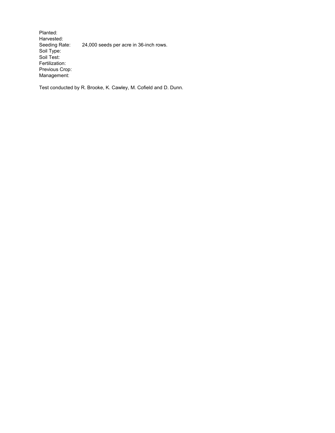Planted: Harvested:<br>Seeding Rate: 24,000 seeds per acre in 36-inch rows. Soil Type: Soil Test: Fertilization: Previous Crop: Management:

Test conducted by R. Brooke, K. Cawley, M. Cofield and D. Dunn.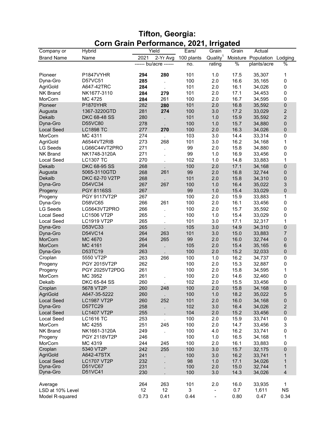| <b>Tifton, Georgia:</b>                 |  |
|-----------------------------------------|--|
| Corn Grain Performance, 2021, Irrigated |  |

| Quality <sup>1</sup><br><b>Brand Name</b><br>2021<br>2-Yr Avg<br>100 plants<br>Moisture Population Lodging<br>Name<br>------ bu/acre ------<br>%<br>plants/acre<br>no.<br>rating<br>101<br>P1847VYHR<br>1.0<br>17.5<br>35,307<br>Pioneer<br>294<br>280<br>D57VC51<br>100<br>2.0<br>16.6<br>Dyna-Gro<br>285<br>35,165<br>A647-42TRC<br>101<br>16.1<br>AgriGold<br>2.0<br>284<br>34,026 | %<br>1<br>0<br>0<br>$\pmb{0}$<br>0<br>$\pmb{0}$ |
|---------------------------------------------------------------------------------------------------------------------------------------------------------------------------------------------------------------------------------------------------------------------------------------------------------------------------------------------------------------------------------------|-------------------------------------------------|
|                                                                                                                                                                                                                                                                                                                                                                                       |                                                 |
|                                                                                                                                                                                                                                                                                                                                                                                       |                                                 |
|                                                                                                                                                                                                                                                                                                                                                                                       |                                                 |
|                                                                                                                                                                                                                                                                                                                                                                                       |                                                 |
|                                                                                                                                                                                                                                                                                                                                                                                       |                                                 |
| 2.0<br>17.1<br><b>NK Brand</b><br>NK1677-3110<br>284<br>279<br>101<br>34,453                                                                                                                                                                                                                                                                                                          |                                                 |
| 261<br>2.0<br>16.7<br>MorCorn<br>MC 4725<br>284<br>100<br>34,595                                                                                                                                                                                                                                                                                                                      |                                                 |
| 282<br>2.0<br>16.8<br><b>P1870YHR</b><br>101<br>35,592<br>Pioneer                                                                                                                                                                                                                                                                                                                     |                                                 |
| 280                                                                                                                                                                                                                                                                                                                                                                                   |                                                 |
| 274<br>3.0<br>17.2<br>Augusta<br>1367-3220GTD<br>281<br>100<br>33,029                                                                                                                                                                                                                                                                                                                 | $\boldsymbol{2}$                                |
| 15.9<br>Dekalb<br>280<br>101<br>1.0<br>35,592<br><b>DKC 68-48 SS</b>                                                                                                                                                                                                                                                                                                                  | $\overline{c}$                                  |
| 1.0<br>15.7<br>D55VC80<br>278<br>100<br>Dyna-Gro<br>34,880                                                                                                                                                                                                                                                                                                                            | $\pmb{0}$                                       |
| 16.3<br>277<br>100<br>2.0<br><b>LC1898 TC</b><br><b>Local Seed</b><br>270<br>34,026                                                                                                                                                                                                                                                                                                   | $\overline{0}$                                  |
| 274<br>103<br>3.0<br>14.4<br>MorCorn<br>MC 4311<br>33,314                                                                                                                                                                                                                                                                                                                             | 0                                               |
| 273<br>268<br>101<br>3.0<br>16.2<br>AgriGold<br>A6544VT2RIB<br>34,168                                                                                                                                                                                                                                                                                                                 | 1                                               |
| 271<br>99<br>2.0<br>15.8<br><b>LG Seeds</b><br>LG66C44VT2PRO<br>34,880                                                                                                                                                                                                                                                                                                                | 0                                               |
| 271<br>99<br>1.0<br>16.9<br>NK Brand<br>NK1748-3120A<br>33,456                                                                                                                                                                                                                                                                                                                        | 0                                               |
| 270<br>1.0<br><b>Local Seed</b><br><b>LC1307 TC</b><br>102<br>14.8<br>33,883                                                                                                                                                                                                                                                                                                          | 1                                               |
| 268<br>100<br>2.0<br>17.1<br>Dekalb<br>DKC 68-95 SS<br>34,168                                                                                                                                                                                                                                                                                                                         | 0                                               |
| 268<br>261<br>99<br>2.0<br>16.8<br>Augusta<br>5065-3110GTD<br>32,744                                                                                                                                                                                                                                                                                                                  | 0                                               |
| Dekalb<br>DKC 62-70 V2TP<br>268<br>101<br>2.0<br>15.8<br>34,310                                                                                                                                                                                                                                                                                                                       | $\pmb{0}$                                       |
| D54VC34<br>267<br>267<br>100<br>1.0<br>16.4<br>Dyna-Gro<br>35,022                                                                                                                                                                                                                                                                                                                     | 3                                               |
| 99<br>1.0<br>15.4<br><b>PGY 8116SS</b><br>267<br>33,029<br>Progeny                                                                                                                                                                                                                                                                                                                    | $\pmb{0}$                                       |
| 100<br>15.9<br><b>PGY 9117VT2P</b><br>267<br>2.0<br>33,883<br>Progeny                                                                                                                                                                                                                                                                                                                 | 1                                               |
| 100<br>2.0<br>16.1<br>Dyna-Gro<br>D58VC65<br>266<br>261<br>33,456                                                                                                                                                                                                                                                                                                                     | $\pmb{0}$                                       |
| 2.0<br>15.7<br><b>LG Seeds</b><br>LG5643VT2PRO<br>266<br>100<br>35,592                                                                                                                                                                                                                                                                                                                | $\pmb{0}$                                       |
| 15.4<br><b>Local Seed</b><br>265<br>100<br>1.0<br><b>LC1506 VT2P</b><br>33,029                                                                                                                                                                                                                                                                                                        | 0                                               |
| 3.0<br>17.1<br><b>Local Seed</b><br><b>LC1919 VT2P</b><br>265<br>101<br>32,317                                                                                                                                                                                                                                                                                                        | 1                                               |
| Dyna-Gro<br>D53VC33<br>265<br>3.0<br>14.9<br>105<br>34,310                                                                                                                                                                                                                                                                                                                            | $\pmb{0}$                                       |
| Dyna-Gro<br>D54VC14<br>264<br>263<br>3.0<br>15.0<br>101<br>33,883                                                                                                                                                                                                                                                                                                                     | 7                                               |
| 264<br>265<br>99<br>2.0<br>16.0<br>MorCorn<br>MC 4670<br>32,744                                                                                                                                                                                                                                                                                                                       | 0                                               |
| 2.0<br>15.4<br>MorCorn<br>MC 4161<br>264<br>105<br>35,165                                                                                                                                                                                                                                                                                                                             | 6                                               |
| 263<br>100<br>2.0<br>15.2<br>D53TC19<br>32,033<br>Dyna-Gro                                                                                                                                                                                                                                                                                                                            | $\pmb{0}$                                       |
| 16.2<br>Croplan<br>5550 VT2P<br>263<br>266<br>100<br>1.0<br>34,737                                                                                                                                                                                                                                                                                                                    | 0                                               |
| 262<br>100<br>2.0<br>15.3<br>PGY 2015VT2P<br>32,887<br>Progeny                                                                                                                                                                                                                                                                                                                        | 0                                               |
| 261<br>2.0<br>15.8<br>PGY 2025VT2PDG<br>100<br>34,595<br>Progeny                                                                                                                                                                                                                                                                                                                      | 1                                               |
| MC 3952<br>261<br>100<br>2.0<br>14.6<br>MorCorn<br>32,460                                                                                                                                                                                                                                                                                                                             | 0                                               |
| Dekalb<br>DKC 65-84 SS<br>260<br>102<br>2.0<br>15.5<br>33,456                                                                                                                                                                                                                                                                                                                         | 0                                               |
| 248<br>2.0<br>5678 VT2P<br>260<br>100<br>15.8<br>Croplan<br>34,168                                                                                                                                                                                                                                                                                                                    | $\pmb{0}$                                       |
| AgriGold<br>A647-35-5222<br>260<br>100<br>1.0<br>18.2<br>35,022                                                                                                                                                                                                                                                                                                                       | 5                                               |
| <b>Local Seed</b><br>260<br>252<br>101<br>2.0<br>16.0<br><b>LC1987 VT2P</b><br>34,168                                                                                                                                                                                                                                                                                                 | 0                                               |
| Dyna-Gro<br>258<br>102<br>16.4<br>D57TC29<br>3.0<br>34,026                                                                                                                                                                                                                                                                                                                            | $\sqrt{2}$                                      |
| 255<br>104<br>15.2<br><b>Local Seed</b><br><b>LC1407 VT2P</b><br>2.0<br>33,456                                                                                                                                                                                                                                                                                                        | $\pmb{0}$                                       |
| <b>Local Seed</b><br>253<br><b>LC1616 TC</b><br>100<br>2.0<br>15.9<br>33,741                                                                                                                                                                                                                                                                                                          | 0                                               |
| MorCorn<br>MC 4255<br>251<br>245<br>100<br>2.0<br>14.7<br>33,456                                                                                                                                                                                                                                                                                                                      | $\ensuremath{\mathsf{3}}$                       |
| <b>NK Brand</b><br>249<br>100<br>4.0<br>16.2<br>NK1661-3120A<br>33,741                                                                                                                                                                                                                                                                                                                | 0                                               |
| <b>PGY 2118VT2P</b><br>246<br>100<br>1.0<br>16.5<br>Progeny<br>34,168                                                                                                                                                                                                                                                                                                                 | 1                                               |
| MorCorn<br>MC 4319<br>244<br>100<br>2.0<br>16.1<br>245<br>33,883                                                                                                                                                                                                                                                                                                                      | 0                                               |
| 242<br>255<br>100<br>15.7<br>Croplan<br>5340 VT2P<br>3.0<br>32,175                                                                                                                                                                                                                                                                                                                    | $\pmb{0}$                                       |
| <b>AgriGold</b><br>A642-47STX<br>241<br>100<br>16.2<br>3.0<br>33,741                                                                                                                                                                                                                                                                                                                  | $\mathbf{1}$                                    |
| 232<br><b>Local Seed</b><br><b>LC1707 VT2P</b><br>98<br>1.0<br>17.1<br>34,026                                                                                                                                                                                                                                                                                                         | $\mathbf{1}$                                    |
| D51VC67<br>Dyna-Gro<br>231<br>100<br>2.0<br>15.0<br>32,744                                                                                                                                                                                                                                                                                                                            | 1                                               |
| Dyna-Gro<br>D51VC41<br>230<br>14.3<br>100<br>3.0<br>34,026                                                                                                                                                                                                                                                                                                                            | $\overline{4}$                                  |
|                                                                                                                                                                                                                                                                                                                                                                                       |                                                 |
| 263<br>264<br>101<br>2.0<br>16.0<br>33,935<br>Average                                                                                                                                                                                                                                                                                                                                 | $\mathbf{1}$                                    |
| LSD at 10% Level<br>12<br>12<br>3<br>0.7<br>1,611<br>$\overline{\phantom{0}}$                                                                                                                                                                                                                                                                                                         | <b>NS</b>                                       |
| 0.73<br>0.44<br>Model R-squared<br>0.41<br>0.80<br>0.47<br>$\blacksquare$                                                                                                                                                                                                                                                                                                             | 0.34                                            |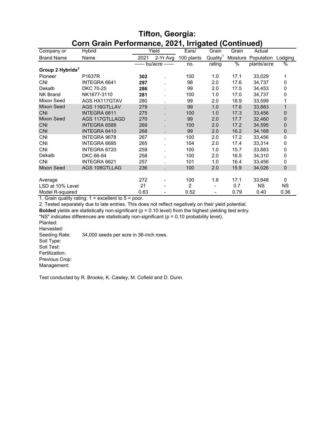|                              | <u>CONTO ani Ferionnance, 2021, impared (Continueu)</u> |      |                       |                |                              |          |             |              |
|------------------------------|---------------------------------------------------------|------|-----------------------|----------------|------------------------------|----------|-------------|--------------|
| Company or                   | Hybrid                                                  |      | Yield                 | Ears/          | Grain                        | Grain    | Actual      |              |
| <b>Brand Name</b>            | Name                                                    | 2021 | 2-Yr Avg              | 100 plants     | Quality <sup>1</sup>         | Moisture | Population  | Lodging      |
|                              |                                                         |      | ------ bu/acre ------ | no.            | rating                       | %        | plants/acre | %            |
| Group 2 Hybrids <sup>2</sup> |                                                         |      |                       |                |                              |          |             |              |
| Pioneer                      | P1637R                                                  | 302  |                       | 100            | 1.0                          | 17.1     | 33,029      | 1            |
| <b>CNI</b>                   | INTEGRA 6641                                            | 297  |                       | 98             | 2.0                          | 17.6     | 34,737      | $\Omega$     |
| Dekalb                       | <b>DKC 70-25</b>                                        | 286  |                       | 99             | 2.0                          | 17.5     | 34,453      | 0            |
| <b>NK Brand</b>              | NK1677-3110                                             | 281  |                       | 100            | 1.0                          | 17.0     | 34,737      | $\Omega$     |
| Mixon Seed                   | AGS HX117GTAV                                           | 280  |                       | 99             | 2.0                          | 18.9     | 33,599      |              |
| <b>Mixon Seed</b>            | AGS 116GTLLAV                                           | 279  |                       | 99             | 1.0                          | 17.6     | 33.883      | $\mathbf{1}$ |
| <b>CNI</b>                   | <b>INTEGRA 6811</b>                                     | 275  |                       | 100            | 1.0                          | 17.3     | 33,456      | 0            |
| <b>Mixon Seed</b>            | AGS 117GTLLAGD                                          | 270  |                       | 99             | 2.0                          | 17.7     | 32,460      | $\mathbf{0}$ |
| <b>CNI</b>                   | <b>INTEGRA 6588</b>                                     | 269  |                       | 100            | 2.0                          | 17.2     | 34,595      | $\mathbf{0}$ |
| <b>CNI</b>                   | <b>INTEGRA 6410</b>                                     | 268  |                       | 99             | 2.0                          | 16.2     | 34,168      | 0            |
| <b>CNI</b>                   | INTEGRA 9678                                            | 267  |                       | 100            | 2.0                          | 17.2     | 33,456      | 0            |
| <b>CNI</b>                   | INTEGRA 6695                                            | 265  |                       | 104            | 2.0                          | 17.4     | 33,314      | $\Omega$     |
| <b>CNI</b>                   | INTEGRA 6720                                            | 259  |                       | 100            | 1.0                          | 15.7     | 33,883      | $\mathbf 0$  |
| Dekalb                       | DKC 66-94                                               | 258  |                       | 100            | 2.0                          | 16.5     | 34,310      | $\mathbf 0$  |
| <b>CNI</b>                   | INTEGRA 6621                                            | 257  |                       | 101            | 1.0                          | 16.4     | 33,456      | $\mathbf 0$  |
| Mixon Seed                   | AGS 108GTLLAG                                           | 236  |                       | 100            | 2.0                          | 15.9     | 34,026      | $\mathbf 0$  |
|                              |                                                         |      |                       |                |                              |          |             |              |
| Average                      |                                                         | 272  |                       | 100            | 1.6                          | 17.1     | 33,848      | $\mathbf{0}$ |
| LSD at 10% Level             |                                                         | 21   |                       | $\overline{2}$ |                              | 0.7      | <b>NS</b>   | <b>NS</b>    |
| Model R-squared              |                                                         | 0.63 |                       | 0.52           | $\qquad \qquad \blacksquare$ | 0.79     | 0.40        | 0.36         |

#### **Tifton, Georgia: Corn Grain Performance, 2021, Irrigated (Continued)**

1. Grain quality rating: 1 = excellent to 5 = poor.

2. Tested separately due to late entries. This does not reflect negatively on their yield potential.

**Bolded** yields are statistically non-significant (p = 0.10 level) from the highest yielding test entry.

"NS" indicates differences are statistically non-significant (p = 0.10 probability level).

Planted:

Harvested:<br>Seeding Rate:

34,000 seeds per acre in 36-inch rows.

Soil Type:

Soil Test: Fertilization:

Previous Crop:

Management:

Test conducted by R. Brooke, K. Cawley, M. Cofield and D. Dunn.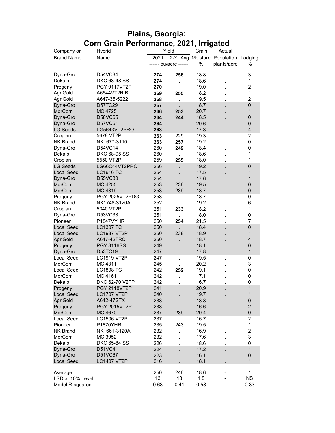|                   | Com Gram Ferrormance, 2021, imigated |                       |                             |               |                                      |                |
|-------------------|--------------------------------------|-----------------------|-----------------------------|---------------|--------------------------------------|----------------|
| Company or        | Hybrid                               | Yield                 |                             | Grain         | Actual                               |                |
| <b>Brand Name</b> | Name                                 | 2021                  |                             |               | 2-Yr Avg Moisture Population Lodging |                |
|                   |                                      | ------ bu/acre ------ |                             | $\frac{1}{2}$ | plants/acre                          | %              |
|                   |                                      |                       |                             |               |                                      |                |
| Dyna-Gro          | D54VC34                              | 274                   | 256                         | 18.8          |                                      | 3              |
| Dekalb            | DKC 68-48 SS                         | 274                   |                             | 18.6          |                                      | 1              |
| Progeny           | <b>PGY 9117VT2P</b>                  | 270                   |                             | 19.0          |                                      | $\overline{c}$ |
| AgriGold          | A6544VT2RIB                          | 269                   | 255                         | 18.2          |                                      | 1              |
| AgriGold          | A647-35-5222                         | 268                   | l.                          | 19.5          |                                      | $\overline{2}$ |
| Dyna-Gro          | D57TC29                              | 267                   |                             | 18.7          |                                      | $\pmb{0}$      |
| MorCorn           | MC 4725                              | 266                   | 253                         | 20.7          |                                      | 1              |
| Dyna-Gro          | D58VC65                              | 264                   | 244                         | 18.5          |                                      | $\mathbf 0$    |
| Dyna-Gro          | D57VC51                              | 264                   |                             | 20.6          |                                      | 0              |
| <b>LG Seeds</b>   | LG5643VT2PRO                         | 263                   |                             | 17.3          |                                      | $\overline{4}$ |
| Croplan           | 5678 VT2P                            | 263                   | 229                         | 19.3          | ÷.                                   | $\overline{c}$ |
| NK Brand          | NK1677-3110                          | 263                   | 257                         | 19.2          |                                      | 0              |
| Dyna-Gro          | D54VC14                              | 260                   | 249                         | 18.4          |                                      | 0              |
| Dekalb            | DKC 68-95 SS                         | 260                   |                             | 18.6          |                                      | 1              |
| Croplan           | 5550 VT2P                            | 259                   | 255                         | 18.0          |                                      | 1              |
| <b>LG Seeds</b>   | LG66C44VT2PRO                        | 256                   |                             | 19.2          |                                      | $\mathbf 0$    |
| <b>Local Seed</b> | <b>LC1616 TC</b>                     | 254                   |                             | 17.5          |                                      | 1              |
| Dyna-Gro          | D55VC80                              | 254                   |                             | 17.6          |                                      | 1              |
| MorCorn           | MC 4255                              | 253                   | 236                         | 19.5          |                                      | $\pmb{0}$      |
| MorCorn           | MC 4319                              | 253                   | 239                         | 18.7          |                                      | 0              |
| Progeny           | PGY 2025VT2PDG                       | 253                   |                             | 18.7          |                                      | 0              |
| <b>NK Brand</b>   | NK1748-3120A                         | 252                   |                             | 19.2          |                                      | 6              |
| Croplan           | 5340 VT2P                            | 251                   | 233                         | 18.2          |                                      | 1              |
| Dyna-Gro          | D53VC33                              | 251                   |                             | 18.0          |                                      | 0              |
| Pioneer           | P1847VYHR                            | 250                   | $\ddot{\phantom{0}}$<br>254 | 21.5          |                                      | 7              |
| <b>Local Seed</b> | <b>LC1307 TC</b>                     | 250                   |                             | 18.4          |                                      | $\pmb{0}$      |
| <b>Local Seed</b> | <b>LC1987 VT2P</b>                   | 250                   | 238                         | 18.9          |                                      | 1              |
| <b>AgriGold</b>   | A647-42TRC                           | 250                   |                             | 18.7          |                                      | $\overline{4}$ |
| Progeny           | <b>PGY 8116SS</b>                    | 249                   |                             | 18.1          |                                      | $\pmb{0}$      |
| Dyna-Gro          | D53TC19                              | 247                   |                             | 17.8          |                                      | $\mathbf{1}$   |
| <b>Local Seed</b> | <b>LC1919 VT2P</b>                   | 247                   |                             | 19.5          |                                      | 0              |
| MorCorn           | MC 4311                              | 245                   |                             | 20.2          |                                      | 3              |
| <b>Local Seed</b> | <b>LC1898 TC</b>                     | 242                   |                             | 19.1          |                                      | 0              |
|                   |                                      |                       | 252                         |               |                                      |                |
| MorCorn           | MC 4161<br>DKC 62-70 V2TP            | 242                   |                             | 17.1          |                                      | 0              |
| Dekalb            |                                      | 242                   |                             | 16.7          |                                      | $\pmb{0}$      |
| Progeny           | <b>PGY 2118VT2P</b>                  | 241                   |                             | 20.9          |                                      | $\overline{1}$ |
| <b>Local Seed</b> | <b>LC1707 VT2P</b>                   | 240                   |                             | 19.7          |                                      | $\mathbf 1$    |
| <b>AgriGold</b>   | A642-47STX                           | 238                   |                             | 18.8          |                                      | $\pmb{0}$      |
| Progeny           | <b>PGY 2015VT2P</b>                  | 238                   |                             | 16.6          |                                      | $\overline{c}$ |
| MorCorn           | MC 4670                              | 237                   | 239                         | 20.4          |                                      | $\pmb{0}$      |
| <b>Local Seed</b> | <b>LC1506 VT2P</b>                   | 237                   |                             | 16.7          |                                      | 2              |
| Pioneer           | P1870YHR                             | 235                   | 243                         | 19.5          |                                      | $\mathbf{1}$   |
| <b>NK Brand</b>   | NK1661-3120A                         | 232                   |                             | 16.9          |                                      | $\overline{c}$ |
| MorCorn           | MC 3952                              | 232                   |                             | 17.6          |                                      | 3              |
| Dekalb            | DKC 65-84 SS                         | 226                   |                             | 18.6          |                                      | 0              |
| Dyna-Gro          | D51VC41                              | 224                   |                             | 17.2          |                                      | $\mathbf{1}$   |
| Dyna-Gro          | D51VC67                              | 223                   |                             | 16.1          |                                      | $\pmb{0}$      |
| <b>Local Seed</b> | <b>LC1407 VT2P</b>                   | 216                   |                             | 18.1          |                                      | $\mathbf{1}$   |
|                   |                                      |                       |                             |               |                                      |                |
| Average           |                                      | 250                   | 246                         | 18.6          |                                      | $\mathbf{1}$   |
| LSD at 10% Level  |                                      | 13                    | 13                          | 1.8           |                                      | <b>NS</b>      |
| Model R-squared   |                                      | 0.68                  | 0.41                        | 0.58          |                                      | 0.33           |

## **Plains, Georgia: Corn Grain Performance, 2021, Irrigated**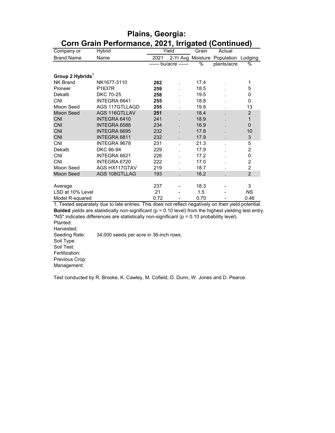|                              | Coni Grani Ferionnance, 2021, imgaled (Continued)                                                                |      |                       |       |                                      |                |
|------------------------------|------------------------------------------------------------------------------------------------------------------|------|-----------------------|-------|--------------------------------------|----------------|
| Company or                   | Hybrid                                                                                                           |      | Yield                 | Grain | Actual                               |                |
| <b>Brand Name</b>            | Name                                                                                                             | 2021 |                       |       | 2-Yr Avg Moisture Population Lodging |                |
|                              |                                                                                                                  |      | ------ bu/acre ------ | $\%$  | plants/acre                          | $\%$           |
| Group 2 Hybrids <sup>1</sup> |                                                                                                                  |      |                       |       |                                      |                |
| <b>NK Brand</b>              | NK1677-3110                                                                                                      | 262  |                       | 17.4  |                                      | 1              |
| Pioneer                      | P1637R                                                                                                           | 259  |                       | 18.5  |                                      | 5              |
| Dekalb                       | <b>DKC 70-25</b>                                                                                                 | 258  |                       | 19.5  |                                      | 0              |
| <b>CNI</b>                   | INTEGRA 6641                                                                                                     | 255  |                       | 18.8  |                                      | 0              |
| Mixon Seed                   | AGS 117GTLLAGD                                                                                                   | 255  |                       | 19.8  |                                      | 13             |
| <b>Mixon Seed</b>            | AGS 116GTLLAV                                                                                                    | 251  |                       | 18.4  |                                      | $\overline{c}$ |
| <b>CNI</b>                   | <b>INTEGRA 6410</b>                                                                                              | 241  |                       | 18.9  |                                      | $\mathbf{1}$   |
| <b>CNI</b>                   | <b>INTEGRA 6588</b>                                                                                              | 234  |                       | 16.9  |                                      | $\overline{0}$ |
| <b>CNI</b>                   | INTEGRA 6695                                                                                                     | 232  |                       | 17.8  |                                      | 10             |
| <b>CNI</b>                   | <b>INTEGRA 6811</b>                                                                                              | 232  |                       | 17.9  |                                      | 3              |
| <b>CNI</b>                   | INTEGRA 9678                                                                                                     | 231  |                       | 21.3  |                                      | 5              |
| Dekalb                       | DKC 66-94                                                                                                        | 229  |                       | 17.9  |                                      | $\overline{c}$ |
| <b>CNI</b>                   | INTEGRA 6621                                                                                                     | 226  |                       | 17.2  |                                      | 0              |
| <b>CNI</b>                   | INTEGRA 6720                                                                                                     | 222  |                       | 17.0  |                                      | $\overline{c}$ |
| Mixon Seed                   | AGS HX117GTAV                                                                                                    | 219  |                       | 18.7  |                                      | $\overline{2}$ |
| Mixon Seed                   | AGS 108GTLLAG                                                                                                    | 193  |                       | 16.2  |                                      | $\overline{2}$ |
|                              |                                                                                                                  |      |                       |       |                                      |                |
| Average                      |                                                                                                                  | 237  |                       | 18.3  |                                      | 3              |
| LSD at 10% Level             |                                                                                                                  | 21   |                       | 1.5   |                                      | <b>NS</b>      |
| Model R-squared              |                                                                                                                  | 0.72 |                       | 0.70  |                                      | 0.46           |
|                              | 1. Tested separately due to late entries. This does not reflect negatively on their yield potential.             |      |                       |       |                                      |                |
|                              | <b>Bolded</b> yields are statistically non-significant ( $p = 0.10$ level) from the highest yielding test entry. |      |                       |       |                                      |                |
|                              | "NS" indicates differences are statistically non-significant ( $p = 0.10$ probability level).                    |      |                       |       |                                      |                |
| Planted:                     |                                                                                                                  |      |                       |       |                                      |                |
| Harvested:                   |                                                                                                                  |      |                       |       |                                      |                |
| Seeding Rate:                | 34,000 seeds per acre in 36-inch rows.                                                                           |      |                       |       |                                      |                |
| $\sim$ $+$                   |                                                                                                                  |      |                       |       |                                      |                |

#### **Plains, Georgia: Corn Grain Performance, 2021, Irrigated (Continued)**

Soil Type: Soil Test:

Fertilization: Previous Crop:

Management:

Test conducted by R. Brooke, K. Cawley, M. Cofield, D. Dunn, W. Jones and D. Pearce.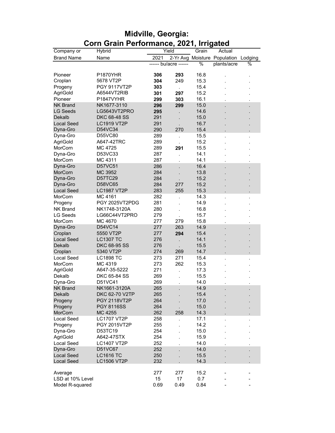|                   | CONT Grant Ferrormance, 2021, imigated |                       |      |       |                                      |   |
|-------------------|----------------------------------------|-----------------------|------|-------|--------------------------------------|---|
| Company or        | Hybrid                                 | Yield                 |      | Grain | Actual                               |   |
| <b>Brand Name</b> | Name                                   | 2021                  |      |       | 2-Yr Avg Moisture Population Lodging |   |
|                   |                                        | ------ bu/acre ------ |      | %     | plants/acre                          | % |
| Pioneer           | <b>P1870YHR</b>                        | 306                   | 293  | 16.8  |                                      |   |
| Croplan           | 5678 VT2P                              | 304                   | 249  | 15.3  |                                      |   |
| Progeny           | <b>PGY 9117VT2P</b>                    | 303                   |      | 15.4  |                                      |   |
| AgriGold          | A6544VT2RIB                            | 301                   | 297  | 15.2  |                                      |   |
| Pioneer           | P1847VYHR                              | 299                   | 303  | 16.1  |                                      |   |
| <b>NK Brand</b>   | NK1677-3110                            | 296                   | 299  | 15.0  |                                      |   |
| <b>LG Seeds</b>   | LG5643VT2PRO                           | 295                   |      | 14.6  |                                      |   |
| Dekalb            | <b>DKC 68-48 SS</b>                    | 291                   |      | 15.0  |                                      |   |
| <b>Local Seed</b> | <b>LC1919 VT2P</b>                     | 291                   |      | 16.7  |                                      |   |
| Dyna-Gro          | D54VC34                                | 290                   | 270  | 15.4  |                                      |   |
| Dyna-Gro          | D55VC80                                | 289                   |      | 15.5  |                                      |   |
| AgriGold          | A647-42TRC                             | 289                   |      | 15.2  |                                      |   |
| MorCorn           | MC 4725                                | 289                   | 291  | 15.5  |                                      |   |
| Dyna-Gro          | D53VC33                                | 287                   |      | 14.1  |                                      |   |
| MorCorn           | MC 4311                                | 287                   |      | 14.1  |                                      |   |
| Dyna-Gro          | D57VC51                                | 286                   |      | 16.4  |                                      |   |
| MorCorn           | MC 3952                                | 284                   |      | 13.8  |                                      |   |
| Dyna-Gro          | D57TC29                                | 284                   |      | 15.2  |                                      |   |
| Dyna-Gro          | D58VC65                                | 284                   | 277  | 15.2  |                                      |   |
| <b>Local Seed</b> | <b>LC1987 VT2P</b>                     | 283                   | 255  | 15.3  |                                      |   |
| MorCorn           | MC 4161                                | 282                   |      | 14.3  |                                      |   |
| Progeny           | PGY 2025VT2PDG                         | 281                   |      | 14.9  |                                      |   |
| <b>NK Brand</b>   | NK1748-3120A                           | 280                   |      | 16.8  |                                      |   |
| <b>LG Seeds</b>   | LG66C44VT2PRO                          | 279                   |      | 15.7  |                                      |   |
| MorCorn           | MC 4670                                | 277                   | 279  | 15.8  |                                      |   |
| Dyna-Gro          | D54VC14                                | 277                   | 263  | 14.9  |                                      |   |
| Croplan           | 5550 VT2P                              | 277                   | 294  | 15.4  |                                      |   |
| <b>Local Seed</b> | <b>LC1307 TC</b>                       | 276                   |      | 14.1  |                                      |   |
| Dekalb            | DKC 68-95 SS                           | 276                   |      | 15.5  |                                      |   |
| Croplan           | 5340 VT2P                              | 274                   | 269  | 14.7  |                                      |   |
| Local Seed        | <b>LC1898 TC</b>                       | 273                   | 271  | 15.4  |                                      |   |
| MorCorn           | MC 4319                                | 273                   | 262  | 15.3  |                                      |   |
| AgriGold          | A647-35-5222                           | 271                   |      | 17.3  |                                      |   |
| Dekalb            | DKC 65-84 SS                           | 269                   |      | 15.5  |                                      |   |
| Dyna-Gro          | D51VC41                                | 269                   |      | 14.0  |                                      |   |
| <b>NK Brand</b>   | NK1661-3120A                           | 265                   |      | 14.9  |                                      |   |
| Dekalb            | DKC 62-70 V2TP                         | 265                   |      | 15.4  |                                      |   |
| Progeny           | <b>PGY 2118VT2P</b>                    | 264                   |      | 17.0  |                                      |   |
| Progeny           | <b>PGY 8116SS</b>                      | 264                   |      | 15.0  |                                      |   |
| MorCorn           | MC 4255                                | 262                   | 258  | 14.3  |                                      |   |
| <b>Local Seed</b> | <b>LC1707 VT2P</b>                     | 258                   |      | 17.1  |                                      |   |
| Progeny           | PGY 2015VT2P                           | 255                   |      | 14.2  |                                      |   |
| Dyna-Gro          | D53TC19                                | 254                   |      | 15.0  |                                      |   |
| AgriGold          | A642-47STX                             | 254                   |      | 15.9  |                                      |   |
| <b>Local Seed</b> | <b>LC1407 VT2P</b>                     | 252                   |      | 14.0  |                                      |   |
| Dyna-Gro          | D51VC67                                | 252                   |      | 14.0  |                                      |   |
| <b>Local Seed</b> | <b>LC1616 TC</b>                       | 250                   |      | 15.5  |                                      |   |
| <b>Local Seed</b> | <b>LC1506 VT2P</b>                     | 232                   |      | 14.3  |                                      |   |
|                   |                                        |                       |      |       |                                      |   |
| Average           |                                        | 277                   | 277  | 15.2  |                                      |   |
| LSD at 10% Level  |                                        | 15                    | 17   | 0.7   |                                      |   |
| Model R-squared   |                                        | 0.69                  | 0.49 | 0.84  |                                      |   |

## **Midville, Georgia: Corn Grain Performance, 2021, Irrigated**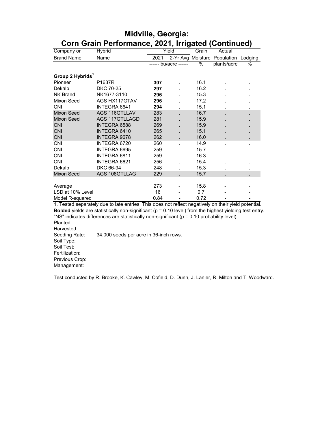|                              | <u>UUIII UTAIII I GHUMMANG, ZUZ I, IMYAGA (UUNMINGA)</u>                                                         |      |                       |       |                                      |      |
|------------------------------|------------------------------------------------------------------------------------------------------------------|------|-----------------------|-------|--------------------------------------|------|
| Company or                   | Hybrid                                                                                                           |      | Yield                 | Grain | Actual                               |      |
| <b>Brand Name</b>            | Name                                                                                                             | 2021 |                       |       | 2-Yr Avg Moisture Population Lodging |      |
|                              |                                                                                                                  |      | ------ bu/acre ------ | $\%$  | plants/acre                          | $\%$ |
| Group 2 Hybrids <sup>1</sup> |                                                                                                                  |      |                       |       |                                      |      |
| Pioneer                      | P1637R                                                                                                           | 307  |                       | 16.1  |                                      |      |
| Dekalb                       | <b>DKC 70-25</b>                                                                                                 | 297  |                       | 16.2  |                                      |      |
| <b>NK Brand</b>              | NK1677-3110                                                                                                      | 296  |                       | 15.3  |                                      |      |
| Mixon Seed                   | AGS HX117GTAV                                                                                                    | 296  |                       | 17.2  |                                      |      |
| <b>CNI</b>                   | INTEGRA 6641                                                                                                     | 294  |                       | 15.1  |                                      |      |
| Mixon Seed                   | <b>AGS 116GTLLAV</b>                                                                                             | 283  |                       | 16.7  |                                      |      |
| Mixon Seed                   | <b>AGS 117GTLLAGD</b>                                                                                            | 281  |                       | 15.9  |                                      |      |
| <b>CNI</b>                   | INTEGRA 6588                                                                                                     | 269  |                       | 15.9  |                                      |      |
| <b>CNI</b>                   | INTEGRA 6410                                                                                                     | 265  |                       | 15.1  |                                      |      |
| <b>CNI</b>                   | <b>INTEGRA 9678</b>                                                                                              | 262  |                       | 16.0  |                                      |      |
| <b>CNI</b>                   | INTEGRA 6720                                                                                                     | 260  |                       | 14.9  |                                      |      |
| <b>CNI</b>                   | INTEGRA 6695                                                                                                     | 259  |                       | 15.7  |                                      |      |
| <b>CNI</b>                   | INTEGRA 6811                                                                                                     | 259  |                       | 16.3  |                                      |      |
| <b>CNI</b>                   | INTEGRA 6621                                                                                                     | 256  |                       | 15.4  |                                      |      |
| Dekalb                       | DKC 66-94                                                                                                        | 248  |                       | 15.3  |                                      |      |
| <b>Mixon Seed</b>            | AGS 108GTLLAG                                                                                                    | 229  |                       | 15.7  |                                      |      |
|                              |                                                                                                                  |      |                       |       |                                      |      |
| Average                      |                                                                                                                  | 273  |                       | 15.8  |                                      |      |
| LSD at 10% Level             |                                                                                                                  | 16   |                       | 0.7   |                                      |      |
| Model R-squared              |                                                                                                                  | 0.84 |                       | 0.72  |                                      |      |
|                              | 1. Tested separately due to late entries. This does not reflect negatively on their yield potential.             |      |                       |       |                                      |      |
|                              | <b>Bolded</b> yields are statistically non-significant ( $p = 0.10$ level) from the highest yielding test entry. |      |                       |       |                                      |      |
|                              | "NS" indicates differences are statistically non-significant ( $p = 0.10$ probability level).                    |      |                       |       |                                      |      |
| Planted:                     |                                                                                                                  |      |                       |       |                                      |      |
| Harvested:                   |                                                                                                                  |      |                       |       |                                      |      |
| Seeding Rate:                | 34,000 seeds per acre in 36-inch rows.                                                                           |      |                       |       |                                      |      |

#### **Midville, Georgia: Corn Grain Performance, 2021, Irrigated (Continued)**

Soil Type: Soil Test:

Fertilization:

Previous Crop:

Management:

Test conducted by R. Brooke, K. Cawley, M. Cofield, D. Dunn, J. Lanier, R. Milton and T. Woodward.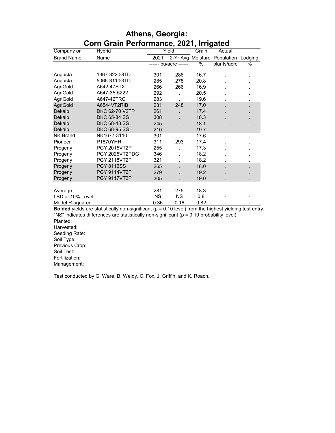| 0111 Oranı F CHOMMANCO, 2021, MAYACA |                                             |           |                                   |                   |                              |         |
|--------------------------------------|---------------------------------------------|-----------|-----------------------------------|-------------------|------------------------------|---------|
| Company or                           | Hybrid                                      |           | Yield                             | Grain             | Actual                       |         |
| <b>Brand Name</b>                    | Name                                        | 2021      |                                   |                   | 2-Yr Avg Moisture Population | Lodging |
|                                      |                                             |           | ------ bu/acre ------             | %                 | plants/acre                  | %       |
|                                      |                                             |           |                                   |                   |                              |         |
| Augusta                              | 1367-3220GTD                                | 301       | 286                               | 16.7              |                              |         |
| Augusta                              | 5065-3110GTD                                | 285       | 278                               | 20.8              |                              |         |
| AgriGold                             | A642-47STX                                  | 266       | 266                               | 16.9              |                              |         |
| AgriGold                             | A647-35-5222                                | 292       |                                   | 20.5              |                              |         |
| AgriGold                             | A647-42TRC                                  | 283       |                                   | 19.6              |                              |         |
| <b>AgriGold</b>                      | A6544VT2RIB                                 | 231       | 248                               | 17.0              |                              |         |
| Dekalb                               | <b>DKC 62-70 V2TP</b>                       | 261       |                                   | 17.4              |                              |         |
| Dekalb                               | <b>DKC 65-84 SS</b>                         | 308       |                                   | 18.3              |                              |         |
| Dekalb                               | <b>DKC 68-48 SS</b>                         | 245       |                                   | 18.1              |                              |         |
| Dekalb                               | DKC 68-95 SS                                | 210       |                                   | 19.7              |                              |         |
| <b>NK Brand</b>                      | NK1677-3110                                 | 301       |                                   | 17.6              |                              |         |
| Pioneer                              | P1870YHR                                    | 311       | 293                               | 17.4              |                              |         |
| Progeny                              | PGY 2015VT2P                                | 255       |                                   | 17.3              |                              |         |
| Progeny                              | PGY 2025VT2PDG                              | 346       |                                   | 18.2              |                              |         |
| Progeny                              | <b>PGY 2118VT2P</b>                         | 321       |                                   | 18.2              |                              |         |
| Progeny                              | <b>PGY 8116SS</b>                           | 265       |                                   | 18.0              |                              |         |
| Progeny                              | <b>PGY 9114VT2P</b>                         | 279       |                                   | 19.2              |                              |         |
| Progeny                              | <b>PGY 9117VT2P</b>                         | 305       |                                   | 19.0              |                              |         |
|                                      |                                             |           |                                   |                   |                              |         |
| Average                              |                                             | 281       | 275                               | 18.3              |                              |         |
| LSD at 10% Level                     |                                             | <b>NS</b> | <b>NS</b>                         | 0.8               |                              |         |
| Model R-squared                      |                                             | 0.36      | 0.16                              | 0.82              |                              |         |
| Ford and a student and students      | والمالي والتقطيط والمستنقين<br>$\mathbf{r}$ | 1/1       | $-1$ $\sim$ $\epsilon$ .<br>0.401 | Alberta Barbarata | $-1.5 - 1.15$                |         |

#### **Athens, Georgia: Corn Grain Performance, 2021, Irrigated**

**Bolded** yields are statistically non-significant (p = 0.10 level) from the highest yielding test entry. "NS" indicates differences are statistically non-significant (p = 0.10 probability level).

Planted: Harvested: Seeding Rate: Soil Type: Previous Crop: Soil Test: Fertilization: Management:

Test conducted by G. Ware, B. Weldy, C. Fox, J. Griffin, and K. Roach.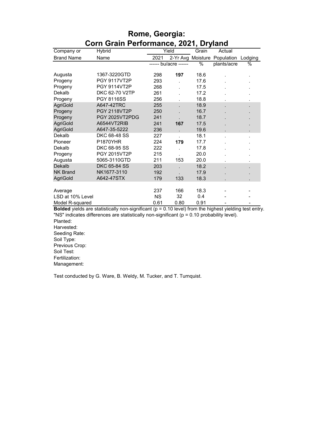| 0111 STAILLE CHORINGHOU, 2021, DEY<br> |                     |           |                       |       |                                      |                |
|----------------------------------------|---------------------|-----------|-----------------------|-------|--------------------------------------|----------------|
| Company or                             | Hybrid              | Yield     |                       | Grain | Actual                               |                |
| <b>Brand Name</b>                      | Name                | 2021      |                       |       | 2-Yr Avg Moisture Population Lodging |                |
|                                        |                     |           | ------ bu/acre ------ | %     | plants/acre                          | %              |
|                                        |                     |           |                       |       |                                      |                |
| Augusta                                | 1367-3220GTD        | 298       | 197                   | 18.6  |                                      | ٠              |
| Progeny                                | <b>PGY 9117VT2P</b> | 293       |                       | 17.6  |                                      |                |
| Progeny                                | <b>PGY 9114VT2P</b> | 268       |                       | 17.5  |                                      |                |
| Dekalb                                 | DKC 62-70 V2TP      | 261       |                       | 17.2  |                                      |                |
| Progeny                                | PGY 8116SS          | 256       |                       | 18.8  |                                      |                |
| <b>AgriGold</b>                        | A647-42TRC          | 255       |                       | 18.9  |                                      | $\blacksquare$ |
| Progeny                                | <b>PGY 2118VT2P</b> | 250       |                       | 16.7  |                                      |                |
| Progeny                                | PGY 2025VT2PDG      | 241       |                       | 18.7  |                                      |                |
| <b>AgriGold</b>                        | A6544VT2RIB         | 241       | 167                   | 17.5  |                                      |                |
| AgriGold                               | A647-35-5222        | 236       |                       | 19.6  |                                      | ä,             |
| Dekalb                                 | <b>DKC 68-48 SS</b> | 227       |                       | 18.1  |                                      |                |
| Pioneer                                | <b>P1870YHR</b>     | 224       | 179                   | 17.7  |                                      |                |
| Dekalb                                 | <b>DKC 68-95 SS</b> | 222       |                       | 17.8  |                                      |                |
| Progeny                                | PGY 2015VT2P        | 215       |                       | 20.0  |                                      |                |
| Augusta                                | 5065-3110GTD        | 211       | 153                   | 20.0  |                                      |                |
| Dekalb                                 | <b>DKC 65-84 SS</b> | 203       |                       | 18.2  |                                      |                |
| <b>NK Brand</b>                        | NK1677-3110         | 192       |                       | 17.9  |                                      |                |
| <b>AgriGold</b>                        | A642-47STX          | 179       | 133                   | 18.3  |                                      |                |
|                                        |                     |           |                       |       |                                      |                |
| Average                                |                     | 237       | 166                   | 18.3  |                                      |                |
| LSD at 10% Level                       |                     | <b>NS</b> | 32                    | 0.4   |                                      |                |
| Model R-squared                        |                     | 0.61      | 0.80                  | 0.91  |                                      |                |

#### **Rome, Georgia: Corn Grain Performance, 2021, Dryland**

**Bolded** yields are statistically non-significant (p = 0.10 level) from the highest yielding test entry. "NS" indicates differences are statistically non-significant (p = 0.10 probability level).

Planted: Harvested: Seeding Rate: Soil Type: Previous Crop: Soil Test: Fertilization: Management:

Test conducted by G. Ware, B. Weldy, M. Tucker, and T. Turnquist.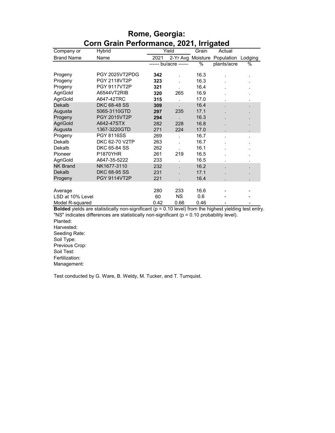| 00111 Oranı 1 Griotmance, 2021, imiyatçu |                     |       |                       |                   |             |         |
|------------------------------------------|---------------------|-------|-----------------------|-------------------|-------------|---------|
| Company or                               | Hybrid              | Yield |                       | Grain             | Actual      |         |
| <b>Brand Name</b>                        | Name                | 2021  |                       | 2-Yr Avg Moisture | Population  | Lodging |
|                                          |                     |       | ------ bu/acre ------ |                   | plants/acre | %       |
| Progeny                                  | PGY 2025VT2PDG      | 342   |                       | 16.3              |             |         |
| Progeny                                  | <b>PGY 2118VT2P</b> | 323   |                       | 16.3              |             |         |
| Progeny                                  | <b>PGY 9117VT2P</b> | 321   |                       | 16.4              |             |         |
| AgriGold                                 | A6544VT2RIB         | 320   | 265                   | 16.9              |             |         |
| AgriGold                                 | A647-42TRC          | 315   |                       | 17.0              |             |         |
| Dekalb                                   | DKC 68-48 SS        | 309   |                       | 16.4              |             |         |
| Augusta                                  | 5065-3110GTD        | 297   | 235                   | 17.1              |             |         |
| Progeny                                  | <b>PGY 2015VT2P</b> | 294   |                       | 16.3              |             |         |
| AgriGold                                 | A642-47STX          | 282   | 228                   | 16.8              |             |         |
| Augusta                                  | 1367-3220GTD        | 271   | 224                   | 17.0              |             |         |
| Progeny                                  | <b>PGY 8116SS</b>   | 269   |                       | 16.7              |             |         |
| Dekalb                                   | DKC 62-70 V2TP      | 263   |                       | 16.7              |             |         |
| Dekalb                                   | DKC 65-84 SS        | 262   |                       | 16.1              |             |         |
| Pioneer                                  | <b>P1870YHR</b>     | 261   | 219                   | 16.5              |             |         |
| AgriGold                                 | A647-35-5222        | 233   |                       | 16.5              |             |         |
| <b>NK Brand</b>                          | NK1677-3110         | 232   |                       | 16.2              |             |         |
| Dekalb                                   | <b>DKC 68-95 SS</b> | 231   |                       | 17.1              |             |         |
| Progeny                                  | <b>PGY 9114VT2P</b> | 221   |                       | 16.4              |             |         |
|                                          |                     |       |                       |                   |             |         |
| Average                                  |                     | 280   | 233                   | 16.6              |             |         |
| LSD at 10% Level                         |                     | 60    | <b>NS</b>             | 0.6               |             |         |
| Model R-squared<br>.                     | $\cdot$<br>11.11    | 0.42  | 0.66                  | 0.46              |             |         |

#### **Rome, Georgia: Corn Grain Performance, 2021, Irrigated**

**Bolded** yields are statistically non-significant (p = 0.10 level) from the highest yielding test entry. "NS" indicates differences are statistically non-significant (p = 0.10 probability level).

Planted: Harvested: Seeding Rate: Soil Type: Previous Crop: Soil Test: Fertilization: Management:

Test conducted by G. Ware, B. Weldy, M. Tucker, and T. Turnquist.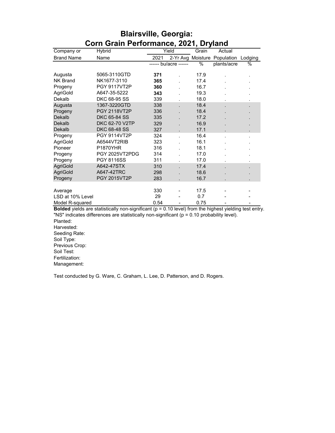| OONI ORANI FENOMMANG, 2021, DI JIANU |                                                                                                                       |      |                       |                   |             |         |
|--------------------------------------|-----------------------------------------------------------------------------------------------------------------------|------|-----------------------|-------------------|-------------|---------|
| Company or                           | Hybrid                                                                                                                |      | Yield                 | Grain             | Actual      |         |
| <b>Brand Name</b>                    | Name                                                                                                                  | 2021 |                       | 2-Yr Avg Moisture | Population  | Lodging |
|                                      |                                                                                                                       |      | ------ bu/acre ------ | $\%$              | plants/acre | %       |
| Augusta                              | 5065-3110GTD                                                                                                          | 371  |                       | 17.9              |             | ï       |
| <b>NK Brand</b>                      | NK1677-3110                                                                                                           | 365  |                       | 17.4              |             |         |
| Progeny                              | <b>PGY 9117VT2P</b>                                                                                                   | 360  |                       | 16.7              |             |         |
| AgriGold                             | A647-35-5222                                                                                                          | 343  |                       | 19.3              |             |         |
| Dekalb                               | <b>DKC 68-95 SS</b>                                                                                                   | 339  |                       | 18.0              |             |         |
| Augusta                              | 1367-3220GTD                                                                                                          | 338  |                       | 18.4              |             |         |
| Progeny                              | <b>PGY 2118VT2P</b>                                                                                                   | 336  |                       | 18.4              |             |         |
| Dekalb                               | <b>DKC 65-84 SS</b>                                                                                                   | 335  |                       | 17.2              |             |         |
| Dekalb                               | DKC 62-70 V2TP                                                                                                        | 329  |                       | 16.9              |             |         |
| Dekalb                               | DKC 68-48 SS                                                                                                          | 327  |                       | 17.1              |             |         |
| Progeny                              | PGY 9114VT2P                                                                                                          | 324  |                       | 16.4              |             |         |
| AgriGold                             | A6544VT2RIB                                                                                                           | 323  |                       | 16.1              |             |         |
| Pioneer                              | <b>P1870YHR</b>                                                                                                       | 316  |                       | 18.1              |             |         |
| Progeny                              | PGY 2025VT2PDG                                                                                                        | 314  |                       | 17.0              |             |         |
| Progeny                              | <b>PGY 8116SS</b>                                                                                                     | 311  |                       | 17.0              |             |         |
| <b>AgriGold</b>                      | A642-47STX                                                                                                            | 310  |                       | 17.4              |             |         |
| <b>AgriGold</b>                      | A647-42TRC                                                                                                            | 298  |                       | 18.6              |             |         |
| Progeny                              | <b>PGY 2015VT2P</b>                                                                                                   | 283  |                       | 16.7              |             |         |
|                                      |                                                                                                                       |      |                       |                   |             |         |
| Average                              |                                                                                                                       | 330  |                       | 17.5              |             |         |
| LSD at 10% Level                     |                                                                                                                       | 29   |                       | 0.7               |             |         |
| Model R-squared                      | <b>Rolded</b> violde are statistically non-significant $(n - 0.10 \text{ level})$ from the bigheet violding test onto | 0.54 |                       | 0.75              |             |         |

#### **Blairsville, Georgia: Corn Grain Performance, 2021, Dryland**

**Bolded** yields are statistically non-significant (p = 0.10 level) from the highest yielding test entry. "NS" indicates differences are statistically non-significant (p = 0.10 probability level).

Planted: Harvested: Seeding Rate: Soil Type: Previous Crop: Soil Test: Fertilization: Management:

Test conducted by G. Ware, C. Graham, L. Lee, D. Patterson, and D. Rogers.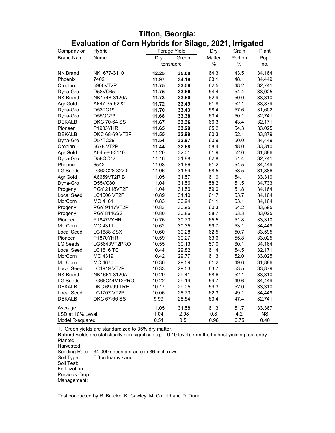| Company or        | Hybrid              |       | Forage Yield       |               | y<br>Grain | Plant     |
|-------------------|---------------------|-------|--------------------|---------------|------------|-----------|
| <b>Brand Name</b> | Name                | Dry   | Green <sup>1</sup> | Dry<br>Matter | Portion    | Pop.      |
|                   |                     |       | tons/acre          | %             | $\%$       | no.       |
| <b>NK Brand</b>   | NK1677-3110         | 12.25 | 35.00              | 64.3          | 43.5       | 34,164    |
| Phoenix           | 7402                | 11.97 | 34.19              | 63.1          | 48.1       | 34,449    |
| Croplan           | 5900VT2P            | 11.75 | 33.58              | 62.5          | 48.2       | 32,741    |
| Dyna-Gro          | D58VC65             | 11.75 | 33.56              | 54.4          | 54.4       | 33,025    |
| <b>NK Brand</b>   | NK1748-3120A        | 11.73 | 33.50              | 62.9          | 50.0       | 33,310    |
| AgriGold          | A647-35-5222        | 11.72 | 33.49              | 61.8          | 52.1       | 33,879    |
| Dyna-Gro          | D53TC19             | 11.70 | 33.43              | 58.4          | 57.6       | 31,602    |
| Dyna-Gro          | D55QC73             | 11.68 | 33.38              | 63.4          | 50.1       | 32,741    |
| <b>DEKALB</b>     | <b>DKC 70-64 SS</b> | 11.67 | 33.36              | 66.3          | 43.4       | 32,171    |
| Pioneer           | P1903YHR            | 11.65 | 33.29              | 65.2          | 54.3       | 33,025    |
| <b>DEKALB</b>     | DKC 68-69 VT2P      | 11.55 | 32.99              | 60.3          | 52.1       | 33,879    |
| Dyna-Gro          | D57TC29             | 11.54 | 32.97              | 60.9          | 50.0       | 34,449    |
| Croplan           | 5678 VT2P           | 11.44 | 32.68              | 58.4          | 48.0       | 33,310    |
| AgriGold          | A645-80-3110        | 11.20 | 32.01              | 61.9          | 52.0       | 31,886    |
| Dyna-Gro          | D58QC72             | 11.16 | 31.88              | 62.8          | 51.4       | 32,741    |
| Phoenix           | 6542                | 11.08 | 31.66              | 61.2          | 54.5       | 34,449    |
| <b>LG Seeds</b>   | LG62C28-3220        | 11.06 | 31.59              | 58.5          | 53.5       | 31,886    |
| AgriGold          | A6659VT2RIB         | 11.05 | 31.57              | 61.0          | 54.1       | 33,310    |
| Dyna-Gro          | D55VC80             | 11.04 | 31.56              | 58.2          | 51.5       | 34,733    |
| Progeny           | <b>PGY 2118VT2P</b> | 11.04 | 31.56              | 59.0          | 51.8       | 34,164    |
| Local Seed        | <b>LC1506 VT2P</b>  | 10.89 | 31.10              | 61.7          | 53.7       | 34,164    |
| MorCorn           | MC 4161             | 10.83 | 30.94              | 61.1          | 53.1       | 34,164    |
| Progeny           | <b>PGY 9117VT2P</b> | 10.83 | 30.95              | 60.3          | 54.2       | 33,595    |
| Progeny           | <b>PGY 8116SS</b>   | 10.80 | 30.86              | 58.7          | 53.3       | 33,025    |
| Pioneer           | P1847VYHR           | 10.76 | 30.73              | 65.5          | 51.8       | 33,310    |
| MorCorn           | MC 4311             | 10.62 | 30.35              | 59.7          | 53.1       | 34,449    |
| Local Seed        | <b>LC1688 SSX</b>   | 10.60 | 30.28              | 62.5          | 50.7       | 33,595    |
| Pioneer           | <b>P1870YHR</b>     | 10.59 | 30.27              | 63.6          | 55.8       | 33,025    |
| <b>LG Seeds</b>   | LG5643VT2PRO        | 10.55 | 30.13              | 57.0          | 60.1       | 34,164    |
| Local Seed        | <b>LC1616 TC</b>    | 10.44 | 29.82              | 61.4          | 54.5       | 32,171    |
| MorCorn           | MC 4319             | 10.42 | 29.77              | 61.3          | 52.0       | 33,025    |
| MorCorn           | MC 4670             | 10.36 | 29.59              | 61.2          | 49.6       | 31,886    |
| Local Seed        | LC1919 VT2P         | 10.33 | 29.53              | 63.7          | 53.5       | 33,879    |
| <b>NK Brand</b>   | NK1661-3120A        | 10.29 | 29.41              | 58.6          | 52.1       | 33,310    |
| LG Seeds          | LG66C44VT2PRO       | 10.22 | 29.19              | 59.7          | 49.6       | 34,449    |
| <b>DEKALB</b>     | DKC 69-99 TRE       | 10.17 | 29.05              | 59.3          | 52.0       | 33,310    |
| Local Seed        | <b>LC1707 VT2P</b>  | 10.06 | 28.73              | 62.3          | 49.1       | 34,449    |
| <b>DEKALB</b>     |                     | 9.99  | 28.54              | 63.4          | 47.4       |           |
|                   | <b>DKC 67-66 SS</b> |       |                    |               |            | 32,741    |
| Average           |                     | 11.05 | 31.58              | 61.3          | 51.7       | 33,367    |
| LSD at 10% Level  |                     | 1.04  | 2.98               | 0.8           | 4.2        | <b>NS</b> |
| Model R-squared   |                     | 0.51  | 0.51               | 0.96          | 0.75       | 0.40      |

#### **Tifton, Georgia: Evaluation of Corn Hybrids for Silage, 2021, Irrigated**

1. Green yields are standardized to 35% dry matter.

**Bolded** yields are statistically non-significant (p = 0.10 level) from the highest yielding test entry. Planted:

Harvested:

Seeding Rate: 34,000 seeds per acre in 36-inch rows. Soil Type: Tifton loamy sand. Soil Test: Fertilization: Previous Crop: Management:

Test conducted by R. Brooke, K. Cawley, M. Cofield and D. Dunn.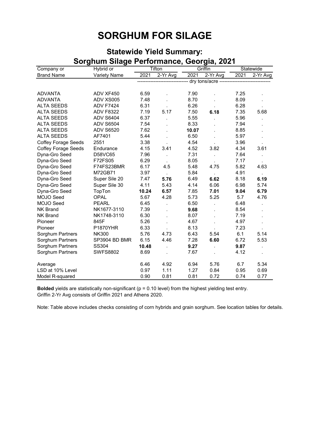## **SORGHUM FOR SILAGE**

| Sorgnum Sliage Performance, Georgia, 2021 |                  |       |                      |       |                                      |           |          |  |
|-------------------------------------------|------------------|-------|----------------------|-------|--------------------------------------|-----------|----------|--|
| Company or                                | Hybrid or        |       | <b>Tifton</b>        |       | Griffin                              | Statewide |          |  |
| <b>Brand Name</b>                         | Variety Name     | 2021  | 2-Yr Avg             | 2021  | 2-Yr Avg                             | 2021      | 2-Yr Avg |  |
|                                           |                  |       |                      |       | dry tons/acre ---------------------- |           |          |  |
|                                           |                  |       |                      |       |                                      |           |          |  |
| <b>ADVANTA</b>                            | ADV XF450        | 6.59  |                      | 7.90  |                                      | 7.25      |          |  |
| <b>ADVANTA</b>                            | ADV XS005        | 7.48  |                      | 8.70  |                                      | 8.09      |          |  |
| <b>ALTA SEEDS</b>                         | <b>ADV F7424</b> | 6.31  |                      | 6.26  |                                      | 6.28      |          |  |
| <b>ALTA SEEDS</b>                         | <b>ADV F8322</b> | 7.19  | 5.17                 | 7.50  | 6.18                                 | 7.35      | 5.68     |  |
| <b>ALTA SEEDS</b>                         | <b>ADV S6404</b> | 6.37  |                      | 5.55  |                                      | 5.96      |          |  |
| <b>ALTA SEEDS</b>                         | <b>ADV S6504</b> | 7.54  |                      | 8.33  |                                      | 7.94      |          |  |
| <b>ALTA SEEDS</b>                         | <b>ADV S6520</b> | 7.62  |                      | 10.07 |                                      | 8.85      |          |  |
| <b>ALTA SEEDS</b>                         | AF7401           | 5.44  |                      | 6.50  |                                      | 5.97      |          |  |
| <b>Coffey Forage Seeds</b>                | 2551             | 3.38  |                      | 4.54  |                                      | 3.96      |          |  |
| <b>Coffey Forage Seeds</b>                | Endurance        | 4.15  | 3.41                 | 4.52  | 3.82                                 | 4.34      | 3.61     |  |
| Dyna-Gro Seed                             | D58VC65          | 7.96  |                      | 7.31  |                                      | 7.64      |          |  |
| Dyna-Gro Seed                             | F72FS05          | 6.29  | $\mathbf{r}$         | 8.05  |                                      | 7.17      | $\cdot$  |  |
| Dyna-Gro Seed                             | F74FS23BMR       | 6.17  | 4.5                  | 5.48  | 4.75                                 | 5.82      | 4.63     |  |
| Dyna-Gro Seed                             | M72GB71          | 3.97  | $\mathbf{r}$         | 5.84  |                                      | 4.91      |          |  |
| Dyna-Gro Seed                             | Super Sile 20    | 7.47  | 5.76                 | 6.49  | 6.62                                 | 8.18      | 6.19     |  |
| Dyna-Gro Seed                             | Super Sile 30    | 4.11  | 5.43                 | 4.14  | 6.06                                 | 6.98      | 5.74     |  |
| Dyna-Gro Seed                             | TopTon           | 10.24 | 6.57                 | 7.85  | 7.01                                 | 9.04      | 6.79     |  |
| MOJO Seed                                 | <b>OPAL</b>      | 5.67  | 4.28                 | 5.73  | 5.25                                 | 5.7       | 4.76     |  |
| MOJO Seed                                 | <b>PEARL</b>     | 6.45  |                      | 6.50  |                                      | 6.48      |          |  |
| <b>NK Brand</b>                           | NK1677-3110      | 7.39  |                      | 9.68  |                                      | 8.54      |          |  |
| <b>NK Brand</b>                           | NK1748-3110      | 6.30  |                      | 8.07  |                                      | 7.19      |          |  |
| Pioneer                                   | 845F             | 5.26  |                      | 4.67  |                                      | 4.97      |          |  |
| Pioneer                                   | <b>P1870YHR</b>  | 6.33  |                      | 8.13  |                                      | 7.23      |          |  |
| Sorghum Partners                          | <b>NK300</b>     | 5.76  | 4.73                 | 6.43  | 5.54                                 | 6.1       | 5.14     |  |
| Sorghum Partners                          | SP3904 BD BMR    | 6.15  | 4.46                 | 7.28  | 6.60                                 | 6.72      | 5.53     |  |
| Sorghum Partners                          | SS304            | 10.48 | $\ddot{\phantom{a}}$ | 9.27  |                                      | 9.87      | ÷        |  |
| Sorghum Partners                          | <b>SWFS8802</b>  | 8.69  |                      | 7.67  |                                      | 4.12      |          |  |
| Average                                   |                  | 6.46  | 4.92                 | 6.94  | 5.76                                 | 6.7       | 5.34     |  |
| LSD at 10% Level                          |                  | 0.97  | 1.11                 | 1.27  | 0.84                                 | 0.95      | 0.69     |  |
| Model R-squared                           |                  | 0.90  | 0.81                 | 0.81  | 0.72                                 | 0.74      | 0.77     |  |

## **Statewide Yield Summary: Sorghum Silage Performance, Georgia, 2021**

**Bolded** yields are statistically non-significant (p = 0.10 level) from the highest yielding test entry. Griffin 2-Yr Avg consists of Griffin 2021 and Athens 2020.

Note: Table above includes checks consisting of corn hybrids and grain sorghum. See location tables for details.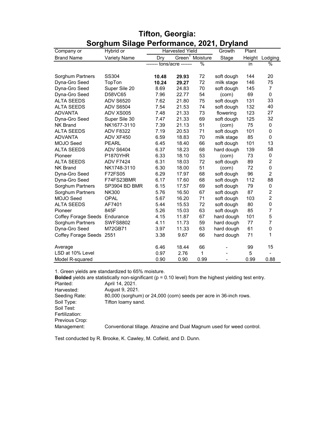|                               | oorgnum onag <del>a</del> r<br>G110111191106, 2021,<br>Pi yidi iu |       |                        |          |            |        |                |
|-------------------------------|-------------------------------------------------------------------|-------|------------------------|----------|------------|--------|----------------|
| Company or                    | Hybrid or                                                         |       | <b>Harvested Yield</b> |          | Growth     | Plant  |                |
| <b>Brand Name</b>             | <b>Variety Name</b>                                               | Dry   | Green <sup>1</sup>     | Moisture | Stage      | Height | Lodging        |
|                               |                                                                   |       | tons/acre ------       | $\%$     |            | in     | $\%$           |
|                               |                                                                   |       |                        |          |            |        |                |
| Sorghum Partners              | SS304                                                             | 10.48 | 29.93                  | 72       | soft dough | 144    | 20             |
| Dyna-Gro Seed                 | TopTon                                                            | 10.24 | 29.27                  | 72       | milk stage | 146    | 75             |
| Dyna-Gro Seed                 | Super Sile 20                                                     | 8.69  | 24.83                  | 70       | soft dough | 145    | $\overline{7}$ |
| Dyna-Gro Seed                 | D58VC65                                                           | 7.96  | 22.77                  | 54       | (corn)     | 69     | $\mathbf 0$    |
| <b>ALTA SEEDS</b>             | <b>ADV S6520</b>                                                  | 7.62  | 21.80                  | 75       | soft dough | 131    | 33             |
| <b>ALTA SEEDS</b>             | <b>ADV S6504</b>                                                  | 7.54  | 21.53                  | 74       | soft dough | 132    | 40             |
| <b>ADVANTA</b>                | ADV XS005                                                         | 7.48  | 21.33                  | 73       | flowering  | 123    | 27             |
| Dyna-Gro Seed                 | Super Sile 30                                                     | 7.47  | 21.33                  | 69       | soft dough | 125    | 32             |
| <b>NK Brand</b>               | NK1677-3110                                                       | 7.39  | 21.13                  | 51       | (corn)     | 75     | 0              |
| <b>ALTA SEEDS</b>             | <b>ADV F8322</b>                                                  | 7.19  | 20.53                  | 71       | soft dough | 101    | $\pmb{0}$      |
| <b>ADVANTA</b>                | ADV XF450                                                         | 6.59  | 18.83                  | 70       | milk stage | 85     | $\mathbf 0$    |
| <b>MOJO Seed</b>              | <b>PEARL</b>                                                      | 6.45  | 18.40                  | 66       | soft dough | 101    | 13             |
| <b>ALTA SEEDS</b>             | <b>ADV S6404</b>                                                  | 6.37  | 18.23                  | 68       | hard dough | 139    | 58             |
| Pioneer                       | <b>P1870YHR</b>                                                   | 6.33  | 18.10                  | 53       | (corn)     | 73     | 0              |
| <b>ALTA SEEDS</b>             | <b>ADV F7424</b>                                                  | 6.31  | 18.03                  | 72       | soft dough | 89     | $\overline{c}$ |
| <b>NK Brand</b>               | NK1748-3110                                                       | 6.30  | 18.00                  | 51       | (corn)     | 72     | $\mathbf 0$    |
| Dyna-Gro Seed                 | F72FS05                                                           | 6.29  | 17.97                  | 68       | soft dough | 96     | $\overline{2}$ |
| Dyna-Gro Seed                 | F74FS23BMR                                                        | 6.17  | 17.60                  | 68       | soft dough | 112    | 88             |
| Sorghum Partners              | SP3904 BD BMR                                                     | 6.15  | 17.57                  | 69       | soft dough | 79     | 0              |
| Sorghum Partners              | <b>NK300</b>                                                      | 5.76  | 16.50                  | 67       | soft dough | 87     | $\overline{c}$ |
| MOJO Seed                     | <b>OPAL</b>                                                       | 5.67  | 16.20                  | 71       | soft dough | 103    | $\overline{c}$ |
| <b>ALTA SEEDS</b>             | AF7401                                                            | 5.44  | 15.53                  | 72       | soft dough | 80     | $\mathbf 0$    |
| Pioneer                       | 845F                                                              | 5.26  | 15.03                  | 63       | soft dough | 85     | $\overline{7}$ |
| Coffey Forage Seeds Endurance |                                                                   | 4.15  | 11.87                  | 67       | hard dough | 101    | 5              |
| Sorghum Partners              | <b>SWFS8802</b>                                                   | 4.11  | 11.73                  | 59       | hard dough | 77     | $\overline{7}$ |
| Dyna-Gro Seed                 | M72GB71                                                           | 3.97  | 11.33                  | 63       | hard dough | 61     | $\mathbf 0$    |
| Coffey Forage Seeds 2551      |                                                                   | 3.38  | 9.67                   | 66       | hard dough | 71     | 1              |
|                               |                                                                   |       |                        |          |            |        |                |
| Average                       |                                                                   | 6.46  | 18.44                  | 66       |            | 99     | 15             |
| LSD at 10% Level              |                                                                   | 0.97  | 2.76                   | 1        |            | 5      |                |
| Model R-squared               |                                                                   | 0.90  | 0.90                   | 0.99     |            | 0.99   | 0.88           |

#### **Tifton, Georgia: Sorghum Silage Performance, 2021, Dryland**

1. Green yields are standardized to 65% moisture.

**Bolded** yields are statistically non-significant (p = 0.10 level) from the highest yielding test entry.<br>Planted: April 14, 2021. Planted: April 14, 2021.<br>
Harvested: August 9, 2021 Harvested: August 9, 2021. Seeding Rate: 80,000 (sorghum) or 24,000 (corn) seeds per acre in 36-inch rows. Soil Type: Tifton loamy sand. Soil Test: Fertilization: Previous Crop: Management: Conventional tillage. Atrazine and Dual Magnum used for weed control.

Test conducted by R. Brooke, K. Cawley, M. Cofield, and D. Dunn.